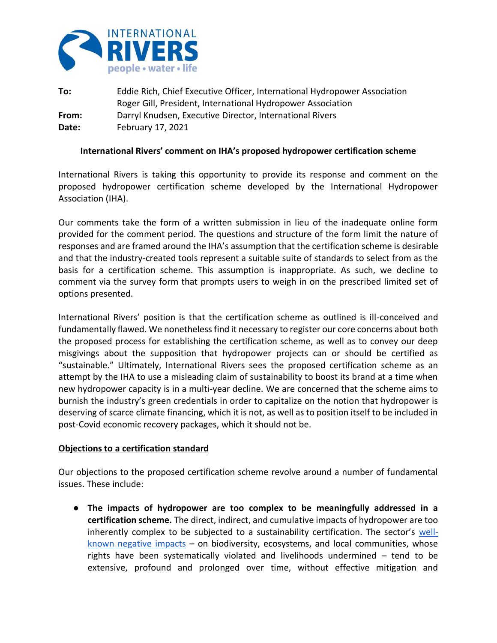

**To:** Eddie Rich, Chief Executive Officer, International Hydropower Association Roger Gill, President, International Hydropower Association **From:** Darryl Knudsen, Executive Director, International Rivers **Date:** February 17, 2021

## **International Rivers' comment on IHA's proposed hydropower certification scheme**

International Rivers is taking this opportunity to provide its response and comment on the proposed hydropower certification scheme developed by the International Hydropower Association (IHA).

Our comments take the form of a written submission in lieu of the inadequate online form provided for the comment period. The questions and structure of the form limit the nature of responses and are framed around the IHA's assumption that the certification scheme is desirable and that the industry-created tools represent a suitable suite of standards to select from as the basis for a certification scheme. This assumption is inappropriate. As such, we decline to comment via the survey form that prompts users to weigh in on the prescribed limited set of options presented.

International Rivers' position is that the certification scheme as outlined is ill-conceived and fundamentally flawed. We nonetheless find it necessary to register our core concerns about both the proposed process for establishing the certification scheme, as well as to convey our deep misgivings about the supposition that hydropower projects can or should be certified as "sustainable." Ultimately, International Rivers sees the proposed certification scheme as an attempt by the IHA to use a misleading claim of sustainability to boost its brand at a time when new hydropower capacity is in a multi-year decline. We are concerned that the scheme aims to burnish the industry's green credentials in order to capitalize on the notion that hydropower is deserving of scarce climate financing, which it is not, as well as to position itself to be included in post-Covid economic recovery packages, which it should not be.

## **Objections to a certification standard**

Our objections to the proposed certification scheme revolve around a number of fundamental issues. These include:

● **The impacts of hydropower are too complex to be meaningfully addressed in a certification scheme.** The direct, indirect, and cumulative impacts of hydropower are too inherently complex to be subjected to a sustainability certification. The sector's [well](https://www.internationalrivers.org/news/a-joint-statement-by-civil-society-organizations-on-occasion-of-the-2019-world-hydropower-congress-in-paris/)[known negative impacts](https://www.internationalrivers.org/news/a-joint-statement-by-civil-society-organizations-on-occasion-of-the-2019-world-hydropower-congress-in-paris/)  $-$  on biodiversity, ecosystems, and local communities, whose rights have been systematically violated and livelihoods undermined – tend to be extensive, profound and prolonged over time, without effective mitigation and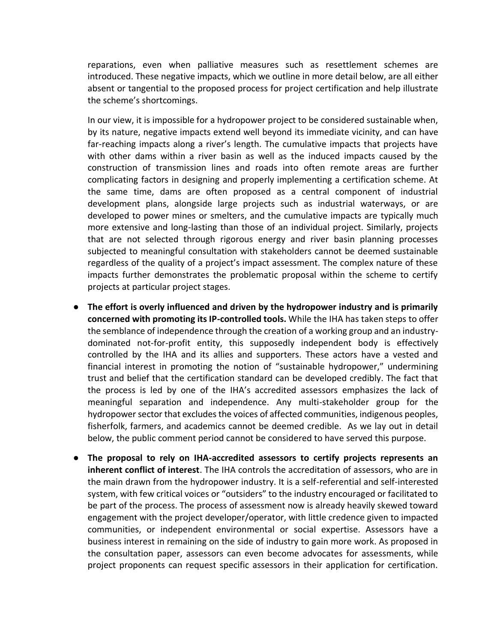reparations, even when palliative measures such as resettlement schemes are introduced. These negative impacts, which we outline in more detail below, are all either absent or tangential to the proposed process for project certification and help illustrate the scheme's shortcomings.

In our view, it is impossible for a hydropower project to be considered sustainable when, by its nature, negative impacts extend well beyond its immediate vicinity, and can have far-reaching impacts along a river's length. The cumulative impacts that projects have with other dams within a river basin as well as the induced impacts caused by the construction of transmission lines and roads into often remote areas are further complicating factors in designing and properly implementing a certification scheme. At the same time, dams are often proposed as a central component of industrial development plans, alongside large projects such as industrial waterways, or are developed to power mines or smelters, and the cumulative impacts are typically much more extensive and long-lasting than those of an individual project. Similarly, projects that are not selected through rigorous energy and river basin planning processes subjected to meaningful consultation with stakeholders cannot be deemed sustainable regardless of the quality of a project's impact assessment. The complex nature of these impacts further demonstrates the problematic proposal within the scheme to certify projects at particular project stages.

- **The effort is overly influenced and driven by the hydropower industry and is primarily concerned with promoting its IP-controlled tools.** While the IHA has taken steps to offer the semblance of independence through the creation of a working group and an industrydominated not-for-profit entity, this supposedly independent body is effectively controlled by the IHA and its allies and supporters. These actors have a vested and financial interest in promoting the notion of "sustainable hydropower," undermining trust and belief that the certification standard can be developed credibly. The fact that the process is led by one of the IHA's accredited assessors emphasizes the lack of meaningful separation and independence. Any multi-stakeholder group for the hydropower sector that excludes the voices of affected communities, indigenous peoples, fisherfolk, farmers, and academics cannot be deemed credible. As we lay out in detail below, the public comment period cannot be considered to have served this purpose.
- **The proposal to rely on IHA-accredited assessors to certify projects represents an inherent conflict of interest**. The IHA controls the accreditation of assessors, who are in the main drawn from the hydropower industry. It is a self-referential and self-interested system, with few critical voices or "outsiders" to the industry encouraged or facilitated to be part of the process. The process of assessment now is already heavily skewed toward engagement with the project developer/operator, with little credence given to impacted communities, or independent environmental or social expertise. Assessors have a business interest in remaining on the side of industry to gain more work. As proposed in the consultation paper, assessors can even become advocates for assessments, while project proponents can request specific assessors in their application for certification.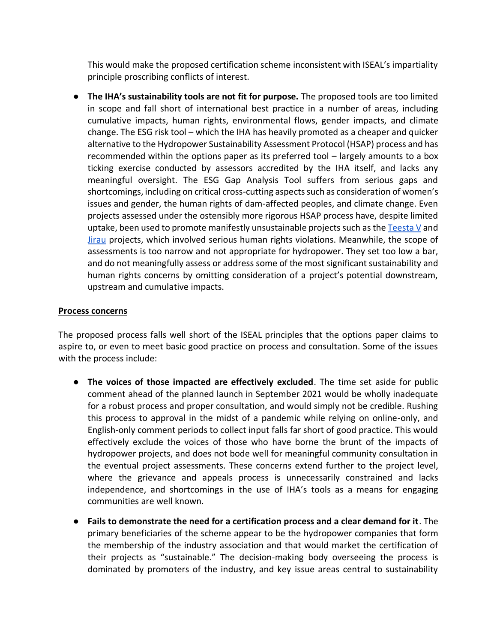This would make the proposed certification scheme inconsistent with ISEAL's impartiality principle proscribing conflicts of interest.

● **The IHA's sustainability tools are not fit for purpose.** The proposed tools are too limited in scope and fall short of international best practice in a number of areas, including cumulative impacts, human rights, environmental flows, gender impacts, and climate change. The ESG risk tool – which the IHA has heavily promoted as a cheaper and quicker alternative to the Hydropower Sustainability Assessment Protocol (HSAP) process and has recommended within the options paper as its preferred tool – largely amounts to a box ticking exercise conducted by assessors accredited by the IHA itself, and lacks any meaningful oversight. The ESG Gap Analysis Tool suffers from serious gaps and shortcomings, including on critical cross-cutting aspects such as consideration of women's issues and gender, the human rights of dam-affected peoples, and climate change. Even projects assessed under the ostensibly more rigorous HSAP process have, despite limited uptake, been used to promote manifestly unsustainable projects such as the  $Teesta V$  and [Jirau](https://archive.internationalrivers.org/resources/public-comments-on-official-hsap-assessments-8059) projects, which involved serious human rights violations. Meanwhile, the scope of assessments is too narrow and not appropriate for hydropower. They set too low a bar, and do not meaningfully assess or address some of the most significant sustainability and human rights concerns by omitting consideration of a project's potential downstream, upstream and cumulative impacts.

## **Process concerns**

The proposed process falls well short of the ISEAL principles that the options paper claims to aspire to, or even to meet basic good practice on process and consultation. Some of the issues with the process include:

- **The voices of those impacted are effectively excluded**. The time set aside for public comment ahead of the planned launch in September 2021 would be wholly inadequate for a robust process and proper consultation, and would simply not be credible. Rushing this process to approval in the midst of a pandemic while relying on online-only, and English-only comment periods to collect input falls far short of good practice. This would effectively exclude the voices of those who have borne the brunt of the impacts of hydropower projects, and does not bode well for meaningful community consultation in the eventual project assessments. These concerns extend further to the project level, where the grievance and appeals process is unnecessarily constrained and lacks independence, and shortcomings in the use of IHA's tools as a means for engaging communities are well known.
- **Fails to demonstrate the need for a certification process and a clear demand for it**. The primary beneficiaries of the scheme appear to be the hydropower companies that form the membership of the industry association and that would market the certification of their projects as "sustainable." The decision-making body overseeing the process is dominated by promoters of the industry, and key issue areas central to sustainability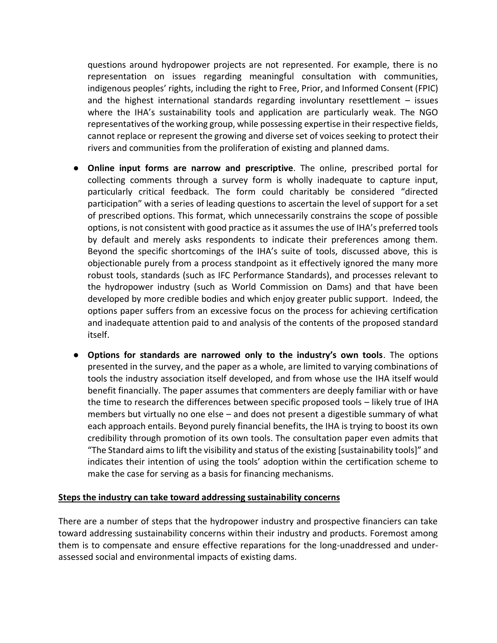questions around hydropower projects are not represented. For example, there is no representation on issues regarding meaningful consultation with communities, indigenous peoples' rights, including the right to Free, Prior, and Informed Consent (FPIC) and the highest international standards regarding involuntary resettlement – issues where the IHA's sustainability tools and application are particularly weak. The NGO representatives of the working group, while possessing expertise in their respective fields, cannot replace or represent the growing and diverse set of voices seeking to protect their rivers and communities from the proliferation of existing and planned dams.

- **Online input forms are narrow and prescriptive**. The online, prescribed portal for collecting comments through a survey form is wholly inadequate to capture input, particularly critical feedback. The form could charitably be considered "directed participation" with a series of leading questions to ascertain the level of support for a set of prescribed options. This format, which unnecessarily constrains the scope of possible options, is not consistent with good practice as it assumes the use of IHA's preferred tools by default and merely asks respondents to indicate their preferences among them. Beyond the specific shortcomings of the IHA's suite of tools, discussed above, this is objectionable purely from a process standpoint as it effectively ignored the many more robust tools, standards (such as IFC Performance Standards), and processes relevant to the hydropower industry (such as World Commission on Dams) and that have been developed by more credible bodies and which enjoy greater public support. Indeed, the options paper suffers from an excessive focus on the process for achieving certification and inadequate attention paid to and analysis of the contents of the proposed standard itself.
- **Options for standards are narrowed only to the industry's own tools**. The options presented in the survey, and the paper as a whole, are limited to varying combinations of tools the industry association itself developed, and from whose use the IHA itself would benefit financially. The paper assumes that commenters are deeply familiar with or have the time to research the differences between specific proposed tools – likely true of IHA members but virtually no one else – and does not present a digestible summary of what each approach entails. Beyond purely financial benefits, the IHA is trying to boost its own credibility through promotion of its own tools. The consultation paper even admits that "The Standard aims to lift the visibility and status of the existing [sustainability tools]" and indicates their intention of using the tools' adoption within the certification scheme to make the case for serving as a basis for financing mechanisms.

## **Steps the industry can take toward addressing sustainability concerns**

There are a number of steps that the hydropower industry and prospective financiers can take toward addressing sustainability concerns within their industry and products. Foremost among them is to compensate and ensure effective reparations for the long-unaddressed and underassessed social and environmental impacts of existing dams.